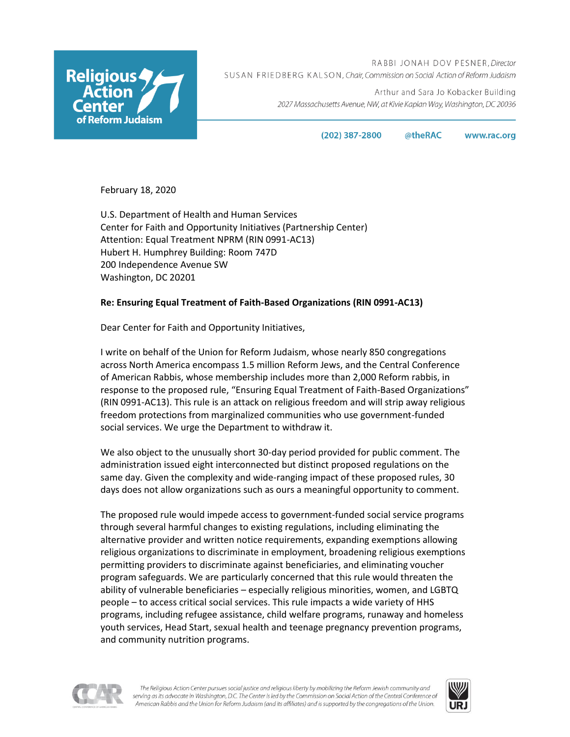

RABBI JONAH DOV PESNER, Director SUSAN FRIEDBERG KALSON, Chair, Commission on Social Action of Reform Judaism

> Arthur and Sara Jo Kobacker Building 2027 Massachusetts Avenue, NW, at Kivie Kaplan Way, Washington, DC 20036

> > $(202)$  387-2800 @theRAC www.rac.org

February 18, 2020

U.S. Department of Health and Human Services Center for Faith and Opportunity Initiatives (Partnership Center) Attention: Equal Treatment NPRM (RIN 0991-AC13) Hubert H. Humphrey Building: Room 747D 200 Independence Avenue SW Washington, DC 20201

# **Re: Ensuring Equal Treatment of Faith-Based Organizations (RIN 0991-AC13)**

Dear Center for Faith and Opportunity Initiatives,

I write on behalf of the Union for Reform Judaism, whose nearly 850 congregations across North America encompass 1.5 million Reform Jews, and the Central Conference of American Rabbis, whose membership includes more than 2,000 Reform rabbis, in response to the proposed rule, "Ensuring Equal Treatment of Faith-Based Organizations" (RIN 0991-AC13). This rule is an attack on religious freedom and will strip away religious freedom protections from marginalized communities who use government-funded social services. We urge the Department to withdraw it.

We also object to the unusually short 30-day period provided for public comment. The administration issued eight interconnected but distinct proposed regulations on the same day. Given the complexity and wide-ranging impact of these proposed rules, 30 days does not allow organizations such as ours a meaningful opportunity to comment.

The proposed rule would impede access to government-funded social service programs through several harmful changes to existing regulations, including eliminating the alternative provider and written notice requirements, expanding exemptions allowing religious organizations to discriminate in employment, broadening religious exemptions permitting providers to discriminate against beneficiaries, and eliminating voucher program safeguards. We are particularly concerned that this rule would threaten the ability of vulnerable beneficiaries – especially religious minorities, women, and LGBTQ people – to access critical social services. This rule impacts a wide variety of HHS programs, including refugee assistance, child welfare programs, runaway and homeless youth services, Head Start, sexual health and teenage pregnancy prevention programs, and community nutrition programs.



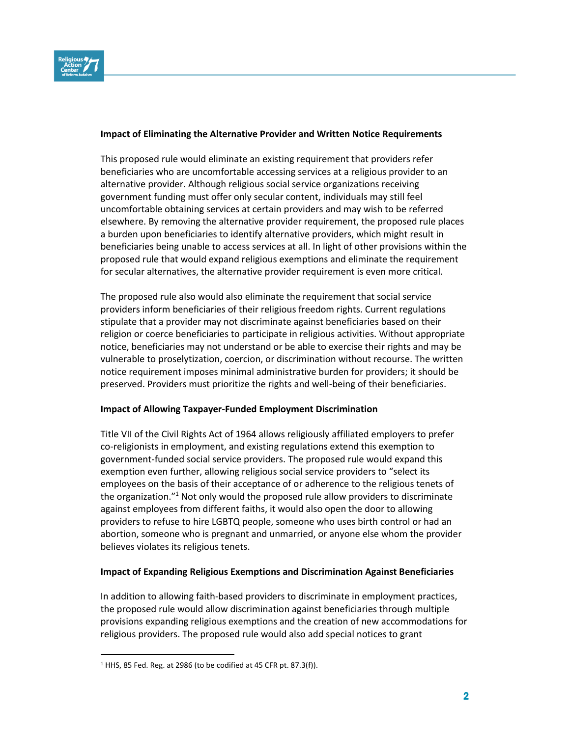

## **Impact of Eliminating the Alternative Provider and Written Notice Requirements**

This proposed rule would eliminate an existing requirement that providers refer beneficiaries who are uncomfortable accessing services at a religious provider to an alternative provider. Although religious social service organizations receiving government funding must offer only secular content, individuals may still feel uncomfortable obtaining services at certain providers and may wish to be referred elsewhere. By removing the alternative provider requirement, the proposed rule places a burden upon beneficiaries to identify alternative providers, which might result in beneficiaries being unable to access services at all. In light of other provisions within the proposed rule that would expand religious exemptions and eliminate the requirement for secular alternatives, the alternative provider requirement is even more critical.

The proposed rule also would also eliminate the requirement that social service providers inform beneficiaries of their religious freedom rights. Current regulations stipulate that a provider may not discriminate against beneficiaries based on their religion or coerce beneficiaries to participate in religious activities. Without appropriate notice, beneficiaries may not understand or be able to exercise their rights and may be vulnerable to proselytization, coercion, or discrimination without recourse. The written notice requirement imposes minimal administrative burden for providers; it should be preserved. Providers must prioritize the rights and well-being of their beneficiaries.

### **Impact of Allowing Taxpayer-Funded Employment Discrimination**

Title VII of the Civil Rights Act of 1964 allows religiously affiliated employers to prefer co-religionists in employment, and existing regulations extend this exemption to government-funded social service providers. The proposed rule would expand this exemption even further, allowing religious social service providers to "select its employees on the basis of their acceptance of or adherence to the religious tenets of the organization."<sup>1</sup> Not only would the proposed rule allow providers to discriminate against employees from different faiths, it would also open the door to allowing providers to refuse to hire LGBTQ people, someone who uses birth control or had an abortion, someone who is pregnant and unmarried, or anyone else whom the provider believes violates its religious tenets.

### **Impact of Expanding Religious Exemptions and Discrimination Against Beneficiaries**

In addition to allowing faith-based providers to discriminate in employment practices, the proposed rule would allow discrimination against beneficiaries through multiple provisions expanding religious exemptions and the creation of new accommodations for religious providers. The proposed rule would also add special notices to grant

<sup>1</sup> HHS, 85 Fed. Reg. at 2986 (to be codified at 45 CFR pt. 87.3(f)).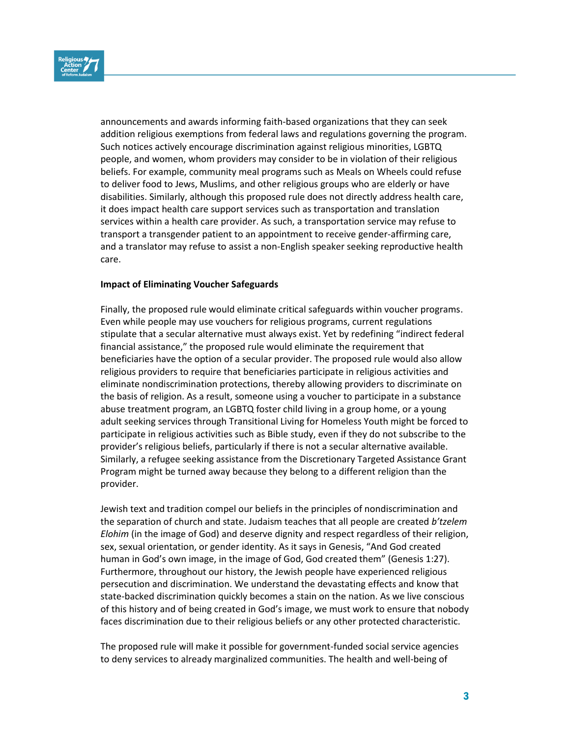

announcements and awards informing faith-based organizations that they can seek addition religious exemptions from federal laws and regulations governing the program. Such notices actively encourage discrimination against religious minorities, LGBTQ people, and women, whom providers may consider to be in violation of their religious beliefs. For example, community meal programs such as Meals on Wheels could refuse to deliver food to Jews, Muslims, and other religious groups who are elderly or have disabilities. Similarly, although this proposed rule does not directly address health care, it does impact health care support services such as transportation and translation services within a health care provider. As such, a transportation service may refuse to transport a transgender patient to an appointment to receive gender-affirming care, and a translator may refuse to assist a non-English speaker seeking reproductive health care.

### **Impact of Eliminating Voucher Safeguards**

Finally, the proposed rule would eliminate critical safeguards within voucher programs. Even while people may use vouchers for religious programs, current regulations stipulate that a secular alternative must always exist. Yet by redefining "indirect federal financial assistance," the proposed rule would eliminate the requirement that beneficiaries have the option of a secular provider. The proposed rule would also allow religious providers to require that beneficiaries participate in religious activities and eliminate nondiscrimination protections, thereby allowing providers to discriminate on the basis of religion. As a result, someone using a voucher to participate in a substance abuse treatment program, an LGBTQ foster child living in a group home, or a young adult seeking services through Transitional Living for Homeless Youth might be forced to participate in religious activities such as Bible study, even if they do not subscribe to the provider's religious beliefs, particularly if there is not a secular alternative available. Similarly, a refugee seeking assistance from the Discretionary Targeted Assistance Grant Program might be turned away because they belong to a different religion than the provider.

Jewish text and tradition compel our beliefs in the principles of nondiscrimination and the separation of church and state. Judaism teaches that all people are created *b'tzelem Elohim* (in the image of God) and deserve dignity and respect regardless of their religion, sex, sexual orientation, or gender identity. As it says in Genesis, "And God created human in God's own image, in the image of God, God created them" (Genesis 1:27). Furthermore, throughout our history, the Jewish people have experienced religious persecution and discrimination. We understand the devastating effects and know that state-backed discrimination quickly becomes a stain on the nation. As we live conscious of this history and of being created in God's image, we must work to ensure that nobody faces discrimination due to their religious beliefs or any other protected characteristic.

The proposed rule will make it possible for government-funded social service agencies to deny services to already marginalized communities. The health and well-being of